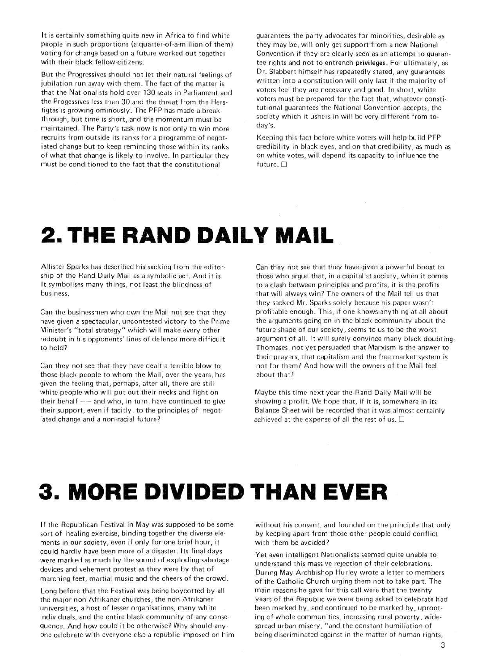It is certainly something quite new in Africa to find white people in such proportions (a quarter-of-a-million of them) voting for change based on a future worked out together with their black fellow-citizens.

But the Progressives should not let their natural feelings of jubilation run away with them. The fact of the matter is that the Nationalists hold over 130 seats in Parliament and the Progessives less than 30 and the threat from the Herstigtes is growing ominously. The PFP has made a breakthrough, but time is short, and the momentum must be maintained. The Party's task now is not only to win more recruits from outside its ranks for a programme of negotiated change but to keep reminding those within its ranks of what that change is likely to involve. In particular they must be conditioned to the fact that the constitutional

guarantees the party advocates for minorities, desirable as they may be, will only get support from a new National Convention if they are clearly seen as an attempt to guarantee rights and not to entrench privileges. For ultimately, as Dr. Slabbert himself has repeatedly stated, any guarantees written into a constitution will only last if the majority of voters feel they are necessary and good. In short, white voters must be prepared for the fact that, whatever constitutional guarantees the National Convention accepts, the society which it ushers in will be very different from today's.

Keeping this fact before white voters will help build PFP credibility in black eyes, and on that credibility, as much as on white votes, will depend its capacity to influence the  $f$ uture.  $\Box$ 

## **2. THE RAND DAILY MAIL**

Allister Sparks has described his sacking from the editorship of the Rand Daily Mail as a symbolic act. And it is. It symbolises many things, not least the blindness of business.

Can the businessmen who own the Mail not see that they have given a spectacular, uncontested victory to the Prime Minister's "total strategy" which will make every other redoubt in his opponents' lines of defence more difficult to hold?

Can they not see that they have dealt a terrible blow to those black people to whom the Mail, over the years, has given the feeling that, perhaps, after all, there are still white people who will put out their necks and fight on their behalf  $--$  and who, in turn, have continued to give their support, even if tacitly, to the principles of negotiated change and a non-racial future?

Can they not see that they have given a powerful boost to those who argue that, in a capitalist society, when it comes to a clash between principles and profits, it is the profits that will always win? The owners of the Mail tell us that they sacked Mr. Sparks solely because his paper wasn't profitable enough. This, if one knows anything at all about the arguments going on in the black community about the future shape of our society, seems to us to be the worst argument of all. It will surely convince many black doubting-Thomases, not yet persuaded that Marxism is the answer to their prayers, that capitalism and the free market system is not for them? And how will the owners of the Mail feel about that?

Maybe this time next year the Rand Daily Mail will be showing a profit. We hope that, if it is, somewhere in its Balance Sheet will be recorded that it was almost certainly achieved at the expense of all the rest of us.  $\Box$ 

## **3. MORE DIVIDED THAN EVER**

If the Republican Festival in May was supposed to be some sort of healing exercise, binding together the diverse elements in our society, even if only for one brief hour, it could hardly have been more of a disaster. Its final days were marked as much by the sound of exploding sabotage devices and vehement protest as they were by that of marching feet, martial music and the cheers of the crowd.

Long before that the Festival was being boycotted by all the major non-Afrikaner churches, the non-Afrikaner universities, a host of lesser organisations, many white individuals, and the entire black community of any consequence. And how could it be otherwise? Why should anyone celebrate with everyone else a republic imposed on him

without his consent, and founded on the principle that only by keeping apart from those other people could conflict with them be avoided?

Yet even intelligent Nationalists seemed quite unable to understand this massive rejection of their celebrations. During May Archbishop Hurley wrote a letter to members of the Catholic Church urging them not to take part. The main reasons he gave for this call were that the twenty years of the Republic we were being asked to celebrate had been marked by, and continued to be marked by, uprooting of whole communities, increasing rural poverty, widespread urban misery, "and the constant humiliation of being discriminated against in the matter of human rights,